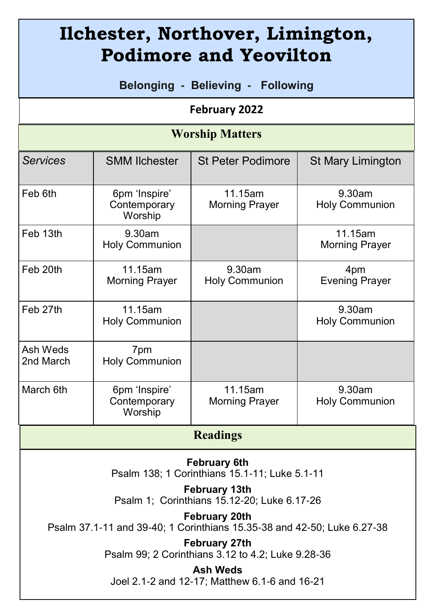| Ilchester, Northover, Limington,<br><b>Podimore and Yeovilton</b>                               |                                          |                                  |                                  |
|-------------------------------------------------------------------------------------------------|------------------------------------------|----------------------------------|----------------------------------|
| Belonging - Believing - Following                                                               |                                          |                                  |                                  |
| February 2022                                                                                   |                                          |                                  |                                  |
| <b>Worship Matters</b>                                                                          |                                          |                                  |                                  |
| <b>Services</b>                                                                                 | <b>SMM Ilchester</b>                     | <b>St Peter Podimore</b>         | <b>St Mary Limington</b>         |
| Feb 6th                                                                                         | 6pm 'Inspire'<br>Contemporary<br>Worship | 11.15am<br><b>Morning Prayer</b> | 9.30am<br><b>Holy Communion</b>  |
| Feb 13th                                                                                        | 9.30am<br><b>Holy Communion</b>          |                                  | 11.15am<br><b>Morning Prayer</b> |
| Feb 20th                                                                                        | 11.15am<br><b>Morning Prayer</b>         | 9.30am<br><b>Holy Communion</b>  | 4pm<br><b>Evening Prayer</b>     |
| Feb 27th                                                                                        | 11.15am<br><b>Holy Communion</b>         |                                  | 9.30am<br><b>Holy Communion</b>  |
| Ash Weds<br>2nd March                                                                           | 7pm<br><b>Holy Communion</b>             |                                  |                                  |
| March 6th                                                                                       | 6pm 'Inspire'<br>Contemporary<br>Worship | 11.15am<br><b>Morning Prayer</b> | 9.30am<br><b>Holy Communion</b>  |
| <b>Readings</b>                                                                                 |                                          |                                  |                                  |
| <b>February 6th</b><br>Psalm 138; 1 Corinthians 15.1-11; Luke 5.1-11<br>February 13th           |                                          |                                  |                                  |
| Psalm 1; Corinthians 15.12-20; Luke 6.17-26                                                     |                                          |                                  |                                  |
| <b>February 20th</b><br>Psalm 37.1-11 and 39-40; 1 Corinthians 15.35-38 and 42-50; Luke 6.27-38 |                                          |                                  |                                  |
| February 27th<br>Psalm 99; 2 Corinthians 3.12 to 4.2; Luke 9.28-36                              |                                          |                                  |                                  |
| <b>Ash Weds</b><br>Joel 2.1-2 and 12-17; Matthew 6.1-6 and 16-21                                |                                          |                                  |                                  |